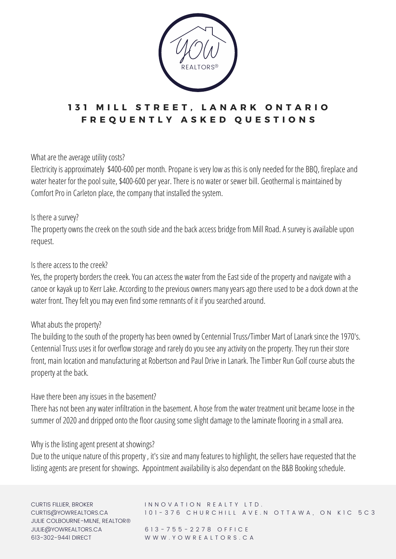

# 131 MILL STREET, LANARK ONTARIO **F R E Q U E N T L Y A S K E D Q U E S T I O N S**

What are the average utility costs?

Electricity is approximately \$400-600 per month. Propane is very low as this is only needed for the BBQ, fireplace and water heater for the pool suite, \$400-600 per year. There is no water or sewer bill. Geothermal is maintained by Comfort Pro in Carleton place, the company that installed the system.

### Is there a survey?

The property owns the creek on the south side and the back access bridge from Mill Road. A survey is available upon request.

### Is there access to the creek?

Yes, the property borders the creek. You can access the water from the East side of the property and navigate with a canoe or kayak up to Kerr Lake. According to the previous owners many years ago there used to be a dock down at the water front. They felt you may even find some remnants of it if you searched around.

### What abuts the property?

The building to the south of the property has been owned by Centennial Truss/Timber Mart of Lanark since the 1970's. Centennial Truss uses it for overflow storage and rarely do you see any activity on the property. They run their store front, main location and manufacturing at Robertson and Paul Drive in Lanark. The Timber Run Golf course abuts the property at the back.

### Have there been any issues in the basement?

There has not been any water infiltration in the basement. A hose from the water treatment unit became loose in the summer of 2020 and dripped onto the floor causing some slight damage to the laminate flooring in a small area.

### Why is the listing agent present at showings?

Due to the unique nature of this property, it's size and many features to highlight, the sellers have requested that the listing agents are present for showings. Appointment availability is also dependant on the B&B Booking schedule.

CURTIS FILLIER, BROKER CURTIS@YOWREALTORS.CA JULIE COLBOURNE-MILNE, REALTOR® JULIE@YOWREALTORS.CA 613-302-9441 DIRECT

#### INNOVATION REALTY LTD. 101 - 376 CHURCHILL AVE.N OTTAWA, ON KIC 5C3

6 1 3 - 7 5 5 - 2 2 7 8 O F F I C E W W W . Y O W R E A L T O R S . C A